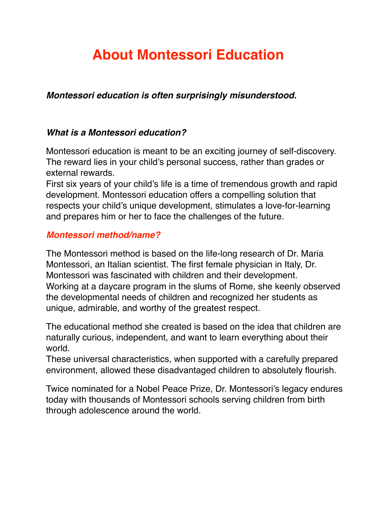# **About Montessori Education**

*Montessori education is often surprisingly misunderstood.* 

#### *What is a Montessori education?*

Montessori education is meant to be an exciting journey of self-discovery. The reward lies in your child's personal success, rather than grades or external rewards.

First six years of your child's life is a time of tremendous growth and rapid development. Montessori education offers a compelling solution that respects your child's unique development, stimulates a love-for-learning and prepares him or her to face the challenges of the future.

#### *Montessori method/name?*

The Montessori method is based on the life-long research of Dr. Maria Montessori, an Italian scientist. The first female physician in Italy, Dr. Montessori was fascinated with children and their development. Working at a daycare program in the slums of Rome, she keenly observed the developmental needs of children and recognized her students as unique, admirable, and worthy of the greatest respect.

The educational method she created is based on the idea that children are naturally curious, independent, and want to learn everything about their world.

These universal characteristics, when supported with a carefully prepared environment, allowed these disadvantaged children to absolutely flourish.

Twice nominated for a Nobel Peace Prize, Dr. Montessori's legacy endures today with thousands of Montessori schools serving children from birth through adolescence around the world.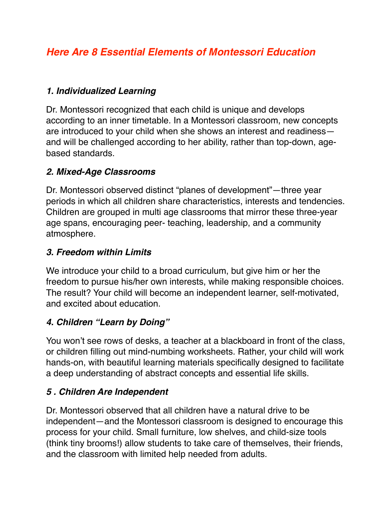# *Here Are 8 Essential Elements of Montessori Education*

#### *1. Individualized Learning*

Dr. Montessori recognized that each child is unique and develops according to an inner timetable. In a Montessori classroom, new concepts are introduced to your child when she shows an interest and readiness and will be challenged according to her ability, rather than top-down, agebased standards.

#### *2. Mixed-Age Classrooms*

Dr. Montessori observed distinct "planes of development"—three year periods in which all children share characteristics, interests and tendencies. Children are grouped in multi age classrooms that mirror these three-year age spans, encouraging peer- teaching, leadership, and a community atmosphere.

#### *3. Freedom within Limits*

We introduce your child to a broad curriculum, but give him or her the freedom to pursue his/her own interests, while making responsible choices. The result? Your child will become an independent learner, self-motivated, and excited about education.

#### *4. Children "Learn by Doing"*

You won't see rows of desks, a teacher at a blackboard in front of the class, or children filling out mind-numbing worksheets. Rather, your child will work hands-on, with beautiful learning materials specifically designed to facilitate a deep understanding of abstract concepts and essential life skills.

#### *5 . Children Are Independent*

Dr. Montessori observed that all children have a natural drive to be independent—and the Montessori classroom is designed to encourage this process for your child. Small furniture, low shelves, and child-size tools (think tiny brooms!) allow students to take care of themselves, their friends, and the classroom with limited help needed from adults.